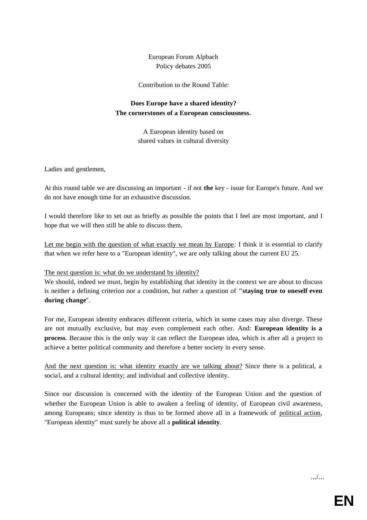European Forum Alpbach Policy debates 2005

Contribution to the Round Table:

## **Does Europe have a shared identity? The cornerstones of a European consciousness.**

A European identity based on shared values in cultural diversity

Ladies and gentlemen,

At this round table we are discussing an important - if not **the** key - issue for Europe's future. And we do not have enough time for an exhaustive discussion.

I would therefore like to set out as briefly as possible the points that I feel are most important, and I hope that we will then still be able to discuss them.

Let me begin with the question of what exactly we mean by Europe: I think it is essential to clarify that when we refer here to a "European identity", we are only talking about the current EU 25.

The next question is: what do we understand by identity?

We should, indeed we must, begin by establishing that identity in the context we are about to discuss is neither a defining criterion nor a condition, but rather a question of **"staying true to oneself even during change**".

For me, European identity embraces different criteria, which in some cases may also diverge. These are not mutually exclusive, but may even complement each other. And: **European identity is a process**. Because this is the only way it can reflect the European idea, which is after all a project to achieve a better political community and therefore a better society in every sense.

And the next question is: what identity exactly are we talking about? Since there is a political, a social, and a cultural identity; and individual and collective identity.

Since our discussion is concerned with the identity of the European Union and the question of whether the European Union is able to awaken a feeling of identity, of European civil awareness, among Europeans; since identity is thus to be formed above all in a framework of political action, "European identity" must surely be above all a **political identity**.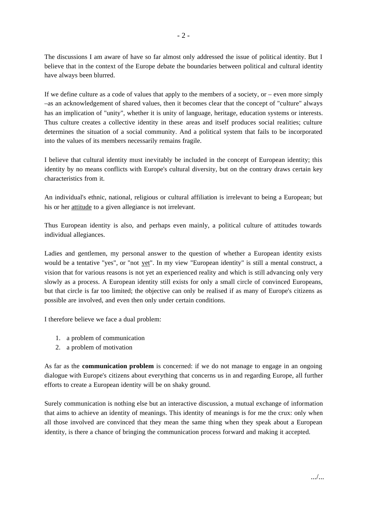The discussions I am aware of have so far almost only addressed the issue of political identity. But I believe that in the context of the Europe debate the boundaries between political and cultural identity have always been blurred.

If we define culture as a code of values that apply to the members of a society, or – even more simply –as an acknowledgement of shared values, then it becomes clear that the concept of "culture" always has an implication of "unity", whether it is unity of language, heritage, education systems or interests. Thus culture creates a collective identity in these areas and itself produces social realities; culture determines the situation of a social community. And a political system that fails to be incorporated into the values of its members necessarily remains fragile.

I believe that cultural identity must inevitably be included in the concept of European identity; this identity by no means conflicts with Europe's cultural diversity, but on the contrary draws certain key characteristics from it.

An individual's ethnic, national, religious or cultural affiliation is irrelevant to being a European; but his or her attitude to a given allegiance is not irrelevant.

Thus European identity is also, and perhaps even mainly, a political culture of attitudes towards individual allegiances.

Ladies and gentlemen, my personal answer to the question of whether a European identity exists would be a tentative "yes", or "not yet". In my view "European identity" is still a mental construct, a vision that for various reasons is not yet an experienced reality and which is still advancing only very slowly as a process. A European identity still exists for only a small circle of convinced Europeans, but that circle is far too limited; the objective can only be realised if as many of Europe's citizens as possible are involved, and even then only under certain conditions.

I therefore believe we face a dual problem:

- 1. a problem of communication
- 2. a problem of motivation

As far as the **communication problem** is concerned: if we do not manage to engage in an ongoing dialogue with Europe's citizens about everything that concerns us in and regarding Europe, all further efforts to create a European identity will be on shaky ground.

Surely communication is nothing else but an interactive discussion, a mutual exchange of information that aims to achieve an identity of meanings. This identity of meanings is for me the crux: only when all those involved are convinced that they mean the same thing when they speak about a European identity, is there a chance of bringing the communication process forward and making it accepted.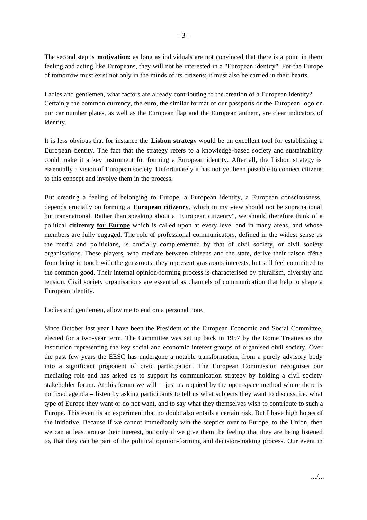The second step is **motivation**: as long as individuals are not convinced that there is a point in them feeling and acting like Europeans, they will not be interested in a "European identity". For the Europe of tomorrow must exist not only in the minds of its citizens; it must also be carried in their hearts.

Ladies and gentlemen, what factors are already contributing to the creation of a European identity? Certainly the common currency, the euro, the similar format of our passports or the European logo on our car number plates, as well as the European flag and the European anthem, are clear indicators of identity.

It is less obvious that for instance the **Lisbon strategy** would be an excellent tool for establishing a European identity. The fact that the strategy refers to a knowledge -based society and sustainability could make it a key instrument for forming a European identity. After all, the Lisbon strategy is essentially a vision of European society. Unfortunately it has not yet been possible to connect citizens to this concept and involve them in the process.

But creating a feeling of belonging to Europe, a European identity, a European consciousness, depends crucially on forming a **European citizenry**, which in my view should not be supranational but transnational. Rather than speaking about a "European citizenry", we should therefore think of a political **citizenry for Europe** which is called upon at every level and in many areas, and whose members are fully engaged. The role of professional communicators, defined in the widest sense as the media and politicians, is crucially complemented by that of civil society, or civil society organisations. These players, who mediate between citizens and the state, derive their raison d'être from being in touch with the grassroots; they represent grassroots interests, but still feel committed to the common good. Their internal opinion-forming process is characterised by pluralism, diversity and tension. Civil society organisations are essential as channels of communication that help to shape a European identity.

Ladies and gentlemen, allow me to end on a personal note.

Since October last year I have been the President of the European Economic and Social Committee, elected for a two-year term. The Committee was set up back in 1957 by the Rome Treaties as the institution representing the key social and economic interest groups of organised civil society. Over the past few years the EESC has undergone a notable transformation, from a purely advisory body into a significant proponent of civic participation. The European Commission recognises our mediating role and has asked us to support its communication strategy by holding a civil society stakeholder forum. At this forum we will – just as required by the open-space method where there is no fixed agenda – listen by asking participants to tell us what subjects they want to discuss, i.e. what type of Europe they want or do not want, and to say what they themselves wish to contribute to such a Europe. This event is an experiment that no doubt also entails a certain risk. But I have high hopes of the initiative. Because if we cannot immediately win the sceptics over to Europe, to the Union, then we can at least arouse their interest, but only if we give them the feeling that they are being listened to, that they can be part of the political opinion-forming and decision-making process. Our event in